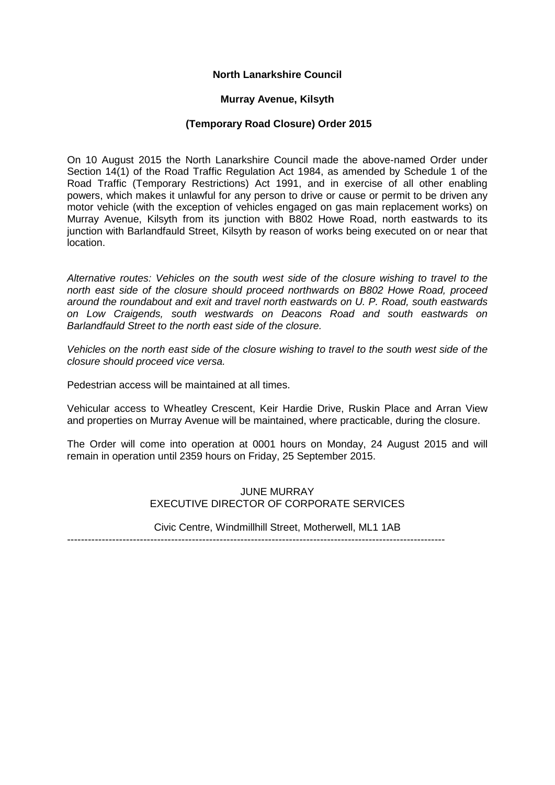# **North Lanarkshire Council**

## **Murray Avenue, Kilsyth**

## **(Temporary Road Closure) Order 2015**

On 10 August 2015 the North Lanarkshire Council made the above-named Order under Section 14(1) of the Road Traffic Regulation Act 1984, as amended by Schedule 1 of the Road Traffic (Temporary Restrictions) Act 1991, and in exercise of all other enabling powers, which makes it unlawful for any person to drive or cause or permit to be driven any motor vehicle (with the exception of vehicles engaged on gas main replacement works) on Murray Avenue, Kilsyth from its junction with B802 Howe Road, north eastwards to its junction with Barlandfauld Street, Kilsyth by reason of works being executed on or near that **location** 

*Alternative routes: Vehicles on the south west side of the closure wishing to travel to the north east side of the closure should proceed northwards on B802 Howe Road, proceed around the roundabout and exit and travel north eastwards on U. P. Road, south eastwards on Low Craigends, south westwards on Deacons Road and south eastwards on Barlandfauld Street to the north east side of the closure.*

*Vehicles on the north east side of the closure wishing to travel to the south west side of the closure should proceed vice versa.*

Pedestrian access will be maintained at all times.

Vehicular access to Wheatley Crescent, Keir Hardie Drive, Ruskin Place and Arran View and properties on Murray Avenue will be maintained, where practicable, during the closure.

The Order will come into operation at 0001 hours on Monday, 24 August 2015 and will remain in operation until 2359 hours on Friday, 25 September 2015.

> JUNE MURRAY EXECUTIVE DIRECTOR OF CORPORATE SERVICES

Civic Centre, Windmillhill Street, Motherwell, ML1 1AB

-------------------------------------------------------------------------------------------------------------